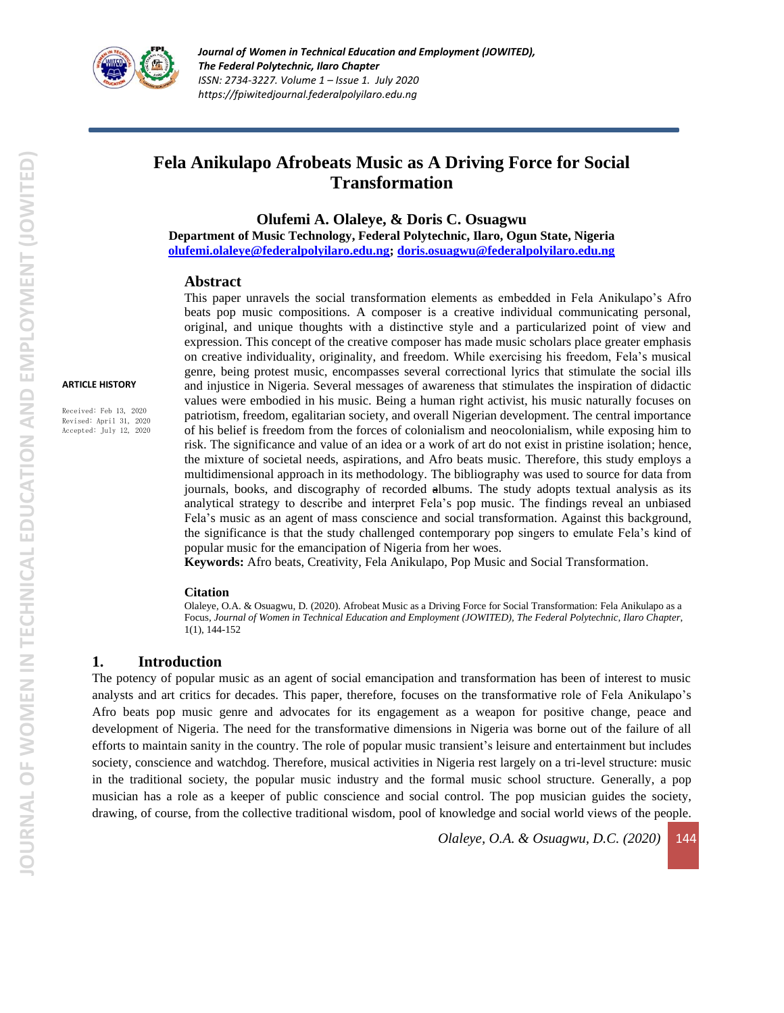

# **Fela Anikulapo Afrobeats Music as A Driving Force for Social Transformation**

**Olufemi A. Olaleye, & Doris C. Osuagwu**

**Department of Music Technology, Federal Polytechnic, Ilaro, Ogun State, Nigeria [olufemi.olaleye@federalpolyilaro.edu.ng;](mailto:olufemi.olaleye@federalpolyilaro.edu.ng) [doris.osuagwu@federalpolyilaro.edu.ng](mailto:doris.osuagwu@federalpolyilaro.edu.ng)**

#### **Abstract**

original, and unique thoughts with a distinctive style and a particularized point of view and expression. This concept of the creative composer has made music scholars place greater emphasis on creative individuality, originality, and freedom. While exercising his freedom, Fela's musical genre, being protest music, encompasses several correctional lyrics that stimulate the social ills and injustice in Nigeria. Several messages of awareness that stimulates the inspiration of didactic values were embodied in his music. Being a human right activist, his music naturally focuses on patriotism, freedom, egalitarian society, and overall Nigerian development. The central importance of his belief is freedom from the forces of colonialism and neocolonialism, while exposing him to risk. The significance and value of an idea or a work of art do not exist in pristine isolation; hence, the mixture of societal needs, aspirations, and Afro beats music. Therefore, this study employs a multidimensional approach in its methodology. The bibliography was used to source for data from journals, books, and discography of recorded albums. The study adopts textual analysis as its analytical strategy to describe and interpret Fela's pop music. The findings reveal an unbiased Fela's music as an agent of mass conscience and social transformation. Against this background, the significance is that the study challenged contemporary pop singers to emulate Fela's kind of popular music for the emancipation of Nigeria from her woes.

This paper unravels the social transformation elements as embedded in Fela Anikulapo's Afro beats pop music compositions. A composer is a creative individual communicating personal,

**Keywords:** Afro beats, Creativity, Fela Anikulapo, Pop Music and Social Transformation.

#### **Citation**

Olaleye, O.A. & Osuagwu, D. (2020). Afrobeat Music as a Driving Force for Social Transformation: Fela Anikulapo as a Focus, *Journal of Women in Technical Education and Employment (JOWITED), The Federal Polytechnic, Ilaro Chapter*, 1(1), 144-152

#### **1. Introduction**

The potency of popular music as an agent of social emancipation and transformation has been of interest to music analysts and art critics for decades. This paper, therefore, focuses on the transformative role of Fela Anikulapo's Afro beats pop music genre and advocates for its engagement as a weapon for positive change, peace and development of Nigeria. The need for the transformative dimensions in Nigeria was borne out of the failure of all efforts to maintain sanity in the country. The role of popular music transient's leisure and entertainment but includes society, conscience and watchdog. Therefore, musical activities in Nigeria rest largely on a tri-level structure: music in the traditional society, the popular music industry and the formal music school structure. Generally, a pop musician has a role as a keeper of public conscience and social control. The pop musician guides the society, drawing, of course, from the collective traditional wisdom, pool of knowledge and social world views of the people.

*Olaleye, O.A. & Osuagwu, D.C. (2020)* 144

**ARTICLE HISTORY**

Received: Feb 13, 2020 Revised: April 31, 2020 Accepted: July 12, 2020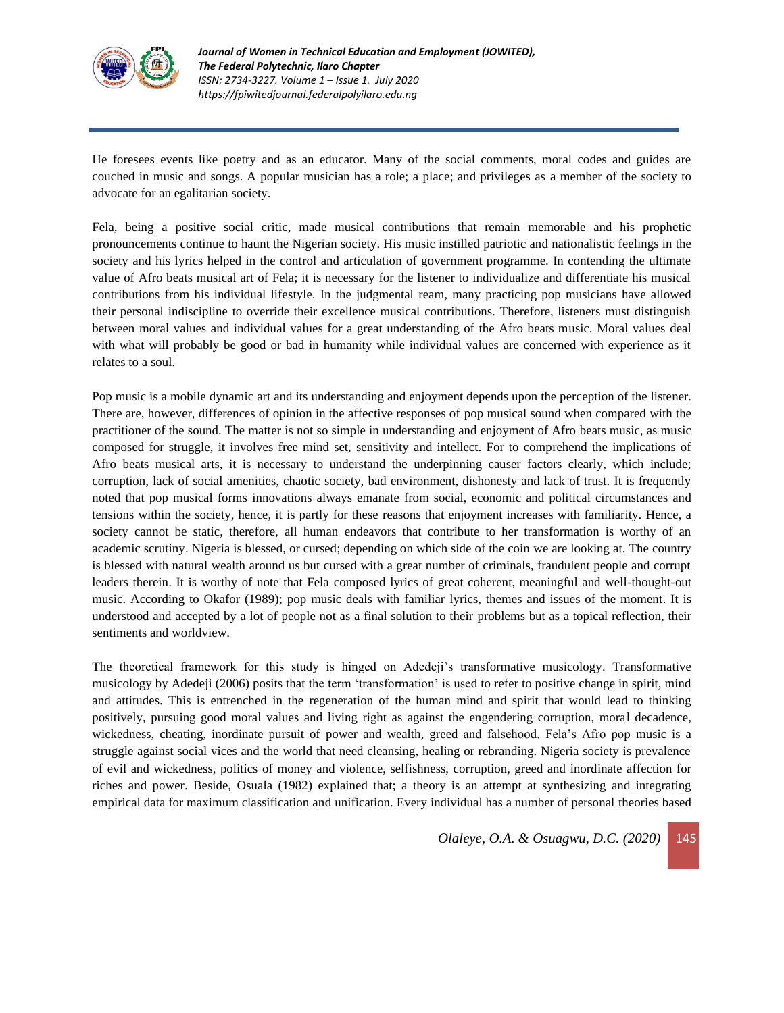

He foresees events like poetry and as an educator. Many of the social comments, moral codes and guides are couched in music and songs. A popular musician has a role; a place; and privileges as a member of the society to advocate for an egalitarian society.

Fela, being a positive social critic, made musical contributions that remain memorable and his prophetic pronouncements continue to haunt the Nigerian society. His music instilled patriotic and nationalistic feelings in the society and his lyrics helped in the control and articulation of government programme. In contending the ultimate value of Afro beats musical art of Fela; it is necessary for the listener to individualize and differentiate his musical contributions from his individual lifestyle. In the judgmental ream, many practicing pop musicians have allowed their personal indiscipline to override their excellence musical contributions. Therefore, listeners must distinguish between moral values and individual values for a great understanding of the Afro beats music. Moral values deal with what will probably be good or bad in humanity while individual values are concerned with experience as it relates to a soul.

Pop music is a mobile dynamic art and its understanding and enjoyment depends upon the perception of the listener. There are, however, differences of opinion in the affective responses of pop musical sound when compared with the practitioner of the sound. The matter is not so simple in understanding and enjoyment of Afro beats music, as music composed for struggle, it involves free mind set, sensitivity and intellect. For to comprehend the implications of Afro beats musical arts, it is necessary to understand the underpinning causer factors clearly, which include; corruption, lack of social amenities, chaotic society, bad environment, dishonesty and lack of trust. It is frequently noted that pop musical forms innovations always emanate from social, economic and political circumstances and tensions within the society, hence, it is partly for these reasons that enjoyment increases with familiarity. Hence, a society cannot be static, therefore, all human endeavors that contribute to her transformation is worthy of an academic scrutiny. Nigeria is blessed, or cursed; depending on which side of the coin we are looking at. The country is blessed with natural wealth around us but cursed with a great number of criminals, fraudulent people and corrupt leaders therein. It is worthy of note that Fela composed lyrics of great coherent, meaningful and well-thought-out music. According to Okafor (1989); pop music deals with familiar lyrics, themes and issues of the moment. It is understood and accepted by a lot of people not as a final solution to their problems but as a topical reflection, their sentiments and worldview.

The theoretical framework for this study is hinged on Adedeji's transformative musicology. Transformative musicology by Adedeji (2006) posits that the term 'transformation' is used to refer to positive change in spirit, mind and attitudes. This is entrenched in the regeneration of the human mind and spirit that would lead to thinking positively, pursuing good moral values and living right as against the engendering corruption, moral decadence, wickedness, cheating, inordinate pursuit of power and wealth, greed and falsehood. Fela's Afro pop music is a struggle against social vices and the world that need cleansing, healing or rebranding. Nigeria society is prevalence of evil and wickedness, politics of money and violence, selfishness, corruption, greed and inordinate affection for riches and power. Beside, Osuala (1982) explained that; a theory is an attempt at synthesizing and integrating empirical data for maximum classification and unification. Every individual has a number of personal theories based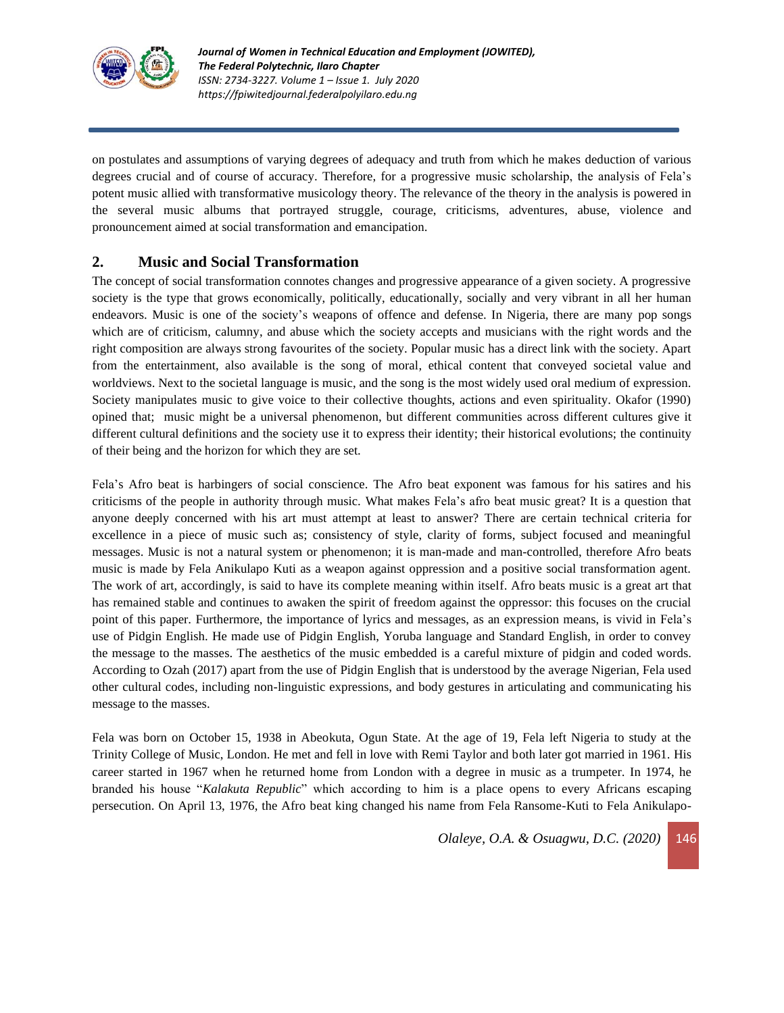

on postulates and assumptions of varying degrees of adequacy and truth from which he makes deduction of various degrees crucial and of course of accuracy. Therefore, for a progressive music scholarship, the analysis of Fela's potent music allied with transformative musicology theory. The relevance of the theory in the analysis is powered in the several music albums that portrayed struggle, courage, criticisms, adventures, abuse, violence and pronouncement aimed at social transformation and emancipation.

## **2. Music and Social Transformation**

The concept of social transformation connotes changes and progressive appearance of a given society. A progressive society is the type that grows economically, politically, educationally, socially and very vibrant in all her human endeavors. Music is one of the society's weapons of offence and defense. In Nigeria, there are many pop songs which are of criticism, calumny, and abuse which the society accepts and musicians with the right words and the right composition are always strong favourites of the society. Popular music has a direct link with the society. Apart from the entertainment, also available is the song of moral, ethical content that conveyed societal value and worldviews. Next to the societal language is music, and the song is the most widely used oral medium of expression. Society manipulates music to give voice to their collective thoughts, actions and even spirituality. Okafor (1990) opined that; music might be a universal phenomenon, but different communities across different cultures give it different cultural definitions and the society use it to express their identity; their historical evolutions; the continuity of their being and the horizon for which they are set.

Fela's Afro beat is harbingers of social conscience. The Afro beat exponent was famous for his satires and his criticisms of the people in authority through music. What makes Fela's afro beat music great? It is a question that anyone deeply concerned with his art must attempt at least to answer? There are certain technical criteria for excellence in a piece of music such as; consistency of style, clarity of forms, subject focused and meaningful messages. Music is not a natural system or phenomenon; it is man-made and man-controlled, therefore Afro beats music is made by Fela Anikulapo Kuti as a weapon against oppression and a positive social transformation agent. The work of art, accordingly, is said to have its complete meaning within itself. Afro beats music is a great art that has remained stable and continues to awaken the spirit of freedom against the oppressor: this focuses on the crucial point of this paper. Furthermore, the importance of lyrics and messages, as an expression means, is vivid in Fela's use of Pidgin English. He made use of Pidgin English, Yoruba language and Standard English, in order to convey the message to the masses. The aesthetics of the music embedded is a careful mixture of pidgin and coded words. According to Ozah (2017) apart from the use of Pidgin English that is understood by the average Nigerian, Fela used other cultural codes, including non-linguistic expressions, and body gestures in articulating and communicating his message to the masses.

Fela was born on October 15, 1938 in Abeokuta, Ogun State. At the age of 19, Fela left Nigeria to study at the Trinity College of Music, London. He met and fell in love with Remi Taylor and both later got married in 1961. His career started in 1967 when he returned home from London with a degree in music as a trumpeter. In 1974, he branded his house "*Kalakuta Republic*" which according to him is a place opens to every Africans escaping persecution. On April 13, 1976, the Afro beat king changed his name from Fela Ransome-Kuti to Fela Anikulapo-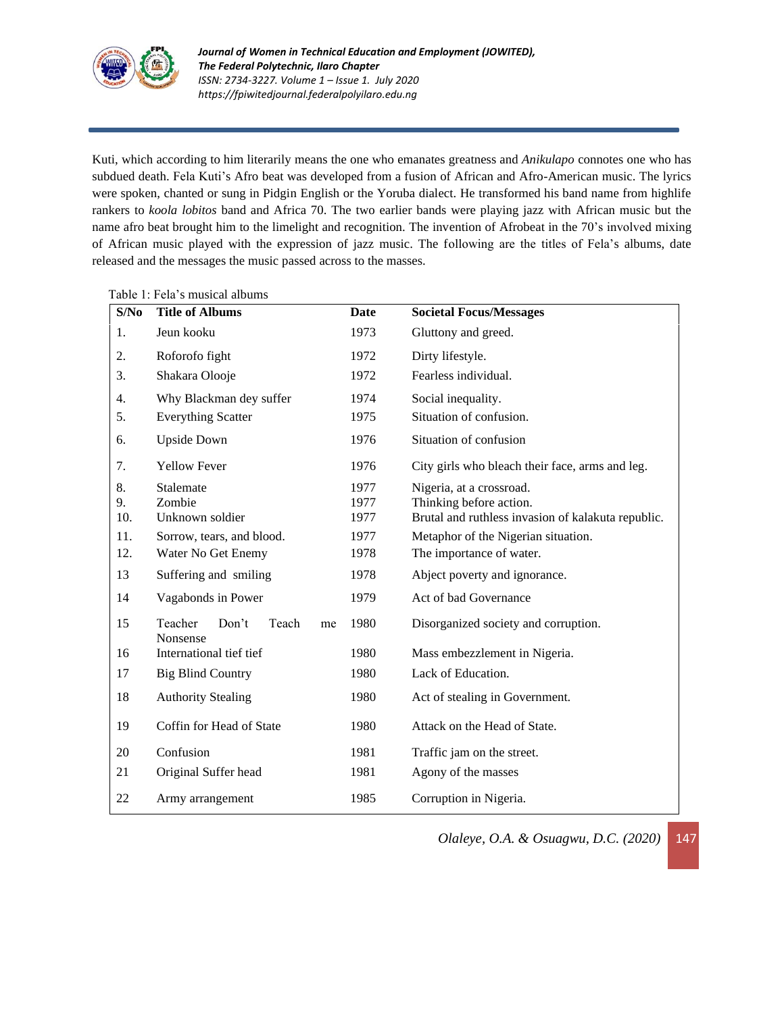

Kuti, which according to him literarily means the one who emanates greatness and *Anikulapo* connotes one who has subdued death. Fela Kuti's Afro beat was developed from a fusion of African and Afro-American music. The lyrics were spoken, chanted or sung in Pidgin English or the Yoruba dialect. He transformed his band name from highlife rankers to *koola lobitos* band and Africa 70. The two earlier bands were playing jazz with African music but the name afro beat brought him to the limelight and recognition. The invention of Afrobeat in the 70's involved mixing of African music played with the expression of jazz music. The following are the titles of Fela's albums, date released and the messages the music passed across to the masses.

| S/No | <b>Title of Albums</b>                      | Date | <b>Societal Focus/Messages</b>                     |
|------|---------------------------------------------|------|----------------------------------------------------|
| 1.   | Jeun kooku                                  | 1973 | Gluttony and greed.                                |
| 2.   | Roforofo fight                              | 1972 | Dirty lifestyle.                                   |
| 3.   | Shakara Olooje                              | 1972 | Fearless individual.                               |
| 4.   | Why Blackman dey suffer                     | 1974 | Social inequality.                                 |
| 5.   | <b>Everything Scatter</b>                   | 1975 | Situation of confusion.                            |
| 6.   | <b>Upside Down</b>                          | 1976 | Situation of confusion                             |
| 7.   | <b>Yellow Fever</b>                         | 1976 | City girls who bleach their face, arms and leg.    |
| 8.   | Stalemate                                   | 1977 | Nigeria, at a crossroad.                           |
| 9.   | Zombie                                      | 1977 | Thinking before action.                            |
| 10.  | Unknown soldier                             | 1977 | Brutal and ruthless invasion of kalakuta republic. |
| 11.  | Sorrow, tears, and blood.                   | 1977 | Metaphor of the Nigerian situation.                |
| 12.  | Water No Get Enemy                          | 1978 | The importance of water.                           |
| 13   | Suffering and smiling                       | 1978 | Abject poverty and ignorance.                      |
| 14   | Vagabonds in Power                          | 1979 | Act of bad Governance                              |
| 15   | Teacher<br>Don't<br>Teach<br>me<br>Nonsense | 1980 | Disorganized society and corruption.               |
| 16   | International tief tief                     | 1980 | Mass embezzlement in Nigeria.                      |
| 17   | <b>Big Blind Country</b>                    | 1980 | Lack of Education.                                 |
| 18   | <b>Authority Stealing</b>                   | 1980 | Act of stealing in Government.                     |
| 19   | Coffin for Head of State                    | 1980 | Attack on the Head of State.                       |
| 20   | Confusion                                   | 1981 | Traffic jam on the street.                         |
| 21   | Original Suffer head                        | 1981 | Agony of the masses                                |
| 22   | Army arrangement                            | 1985 | Corruption in Nigeria.                             |

Table 1: Fela's musical albums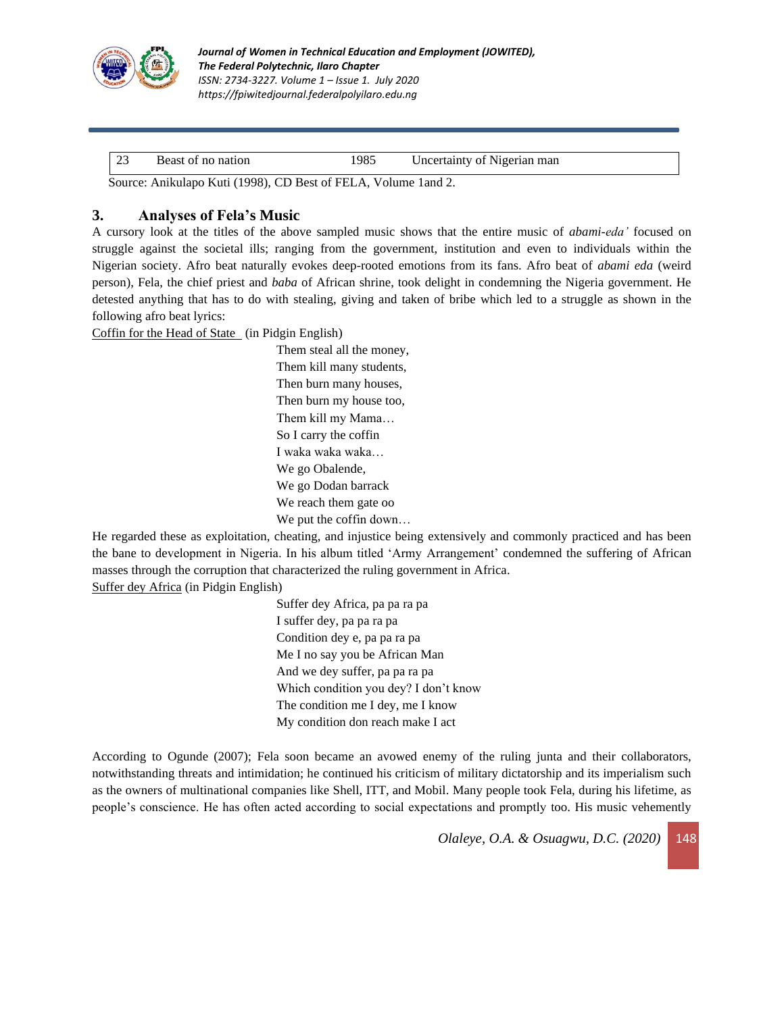

| Beast of no nation | 1985. | Uncertainty of Nigerian man |  |
|--------------------|-------|-----------------------------|--|

Source: Anikulapo Kuti (1998), CD Best of FELA, Volume 1and 2.

## **3. Analyses of Fela's Music**

A cursory look at the titles of the above sampled music shows that the entire music of *abami*-*eda'* focused on struggle against the societal ills; ranging from the government, institution and even to individuals within the Nigerian society. Afro beat naturally evokes deep-rooted emotions from its fans. Afro beat of *abami eda* (weird person), Fela, the chief priest and *baba* of African shrine, took delight in condemning the Nigeria government. He detested anything that has to do with stealing, giving and taken of bribe which led to a struggle as shown in the following afro beat lyrics:

Coffin for the Head of State (in Pidgin English)

 Them steal all the money, Them kill many students, Then burn many houses, Then burn my house too, Them kill my Mama… So I carry the coffin I waka waka waka... We go Obalende, We go Dodan barrack We reach them gate oo We put the coffin down…

He regarded these as exploitation, cheating, and injustice being extensively and commonly practiced and has been the bane to development in Nigeria. In his album titled 'Army Arrangement' condemned the suffering of African masses through the corruption that characterized the ruling government in Africa.

Suffer dey Africa (in Pidgin English)

 Suffer dey Africa, pa pa ra pa I suffer dey, pa pa ra pa Condition dey e, pa pa ra pa Me I no say you be African Man And we dey suffer, pa pa ra pa Which condition you dey? I don't know The condition me I dey, me I know My condition don reach make I act

According to Ogunde (2007); Fela soon became an avowed enemy of the ruling junta and their collaborators, notwithstanding threats and intimidation; he continued his criticism of military dictatorship and its imperialism such as the owners of multinational companies like Shell, ITT, and Mobil. Many people took Fela, during his lifetime, as people's conscience. He has often acted according to social expectations and promptly too. His music vehemently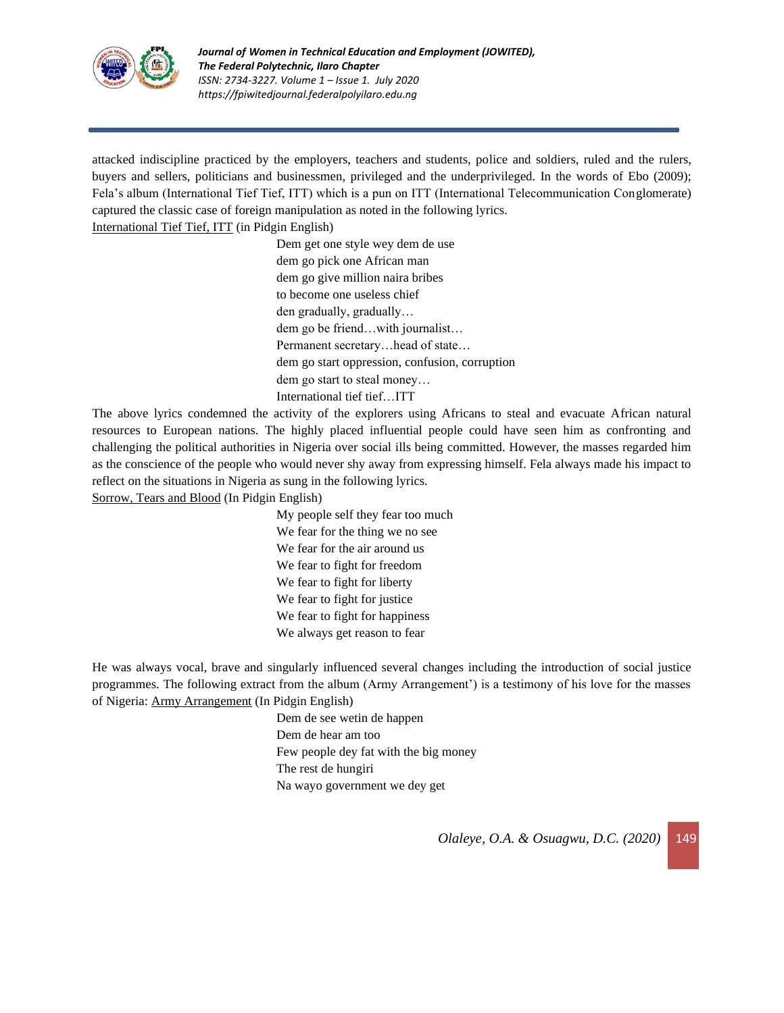

attacked indiscipline practiced by the employers, teachers and students, police and soldiers, ruled and the rulers, buyers and sellers, politicians and businessmen, privileged and the underprivileged. In the words of Ebo (2009); Fela's album (International Tief Tief, ITT) which is a pun on ITT (International Telecommunication Conglomerate) captured the classic case of foreign manipulation as noted in the following lyrics.

International Tief Tief, ITT (in Pidgin English)

 Dem get one style wey dem de use dem go pick one African man dem go give million naira bribes to become one useless chief den gradually, gradually… dem go be friend…with journalist… Permanent secretary…head of state… dem go start oppression, confusion, corruption dem go start to steal money… International tief tief...ITT

The above lyrics condemned the activity of the explorers using Africans to steal and evacuate African natural resources to European nations. The highly placed influential people could have seen him as confronting and challenging the political authorities in Nigeria over social ills being committed. However, the masses regarded him as the conscience of the people who would never shy away from expressing himself. Fela always made his impact to reflect on the situations in Nigeria as sung in the following lyrics.

Sorrow, Tears and Blood (In Pidgin English)

 My people self they fear too much We fear for the thing we no see We fear for the air around us We fear to fight for freedom We fear to fight for liberty We fear to fight for justice We fear to fight for happiness We always get reason to fear

He was always vocal, brave and singularly influenced several changes including the introduction of social justice programmes. The following extract from the album (Army Arrangement') is a testimony of his love for the masses of Nigeria: Army Arrangement (In Pidgin English)

> Dem de see wetin de happen Dem de hear am too Few people dey fat with the big money The rest de hungiri Na wayo government we dey get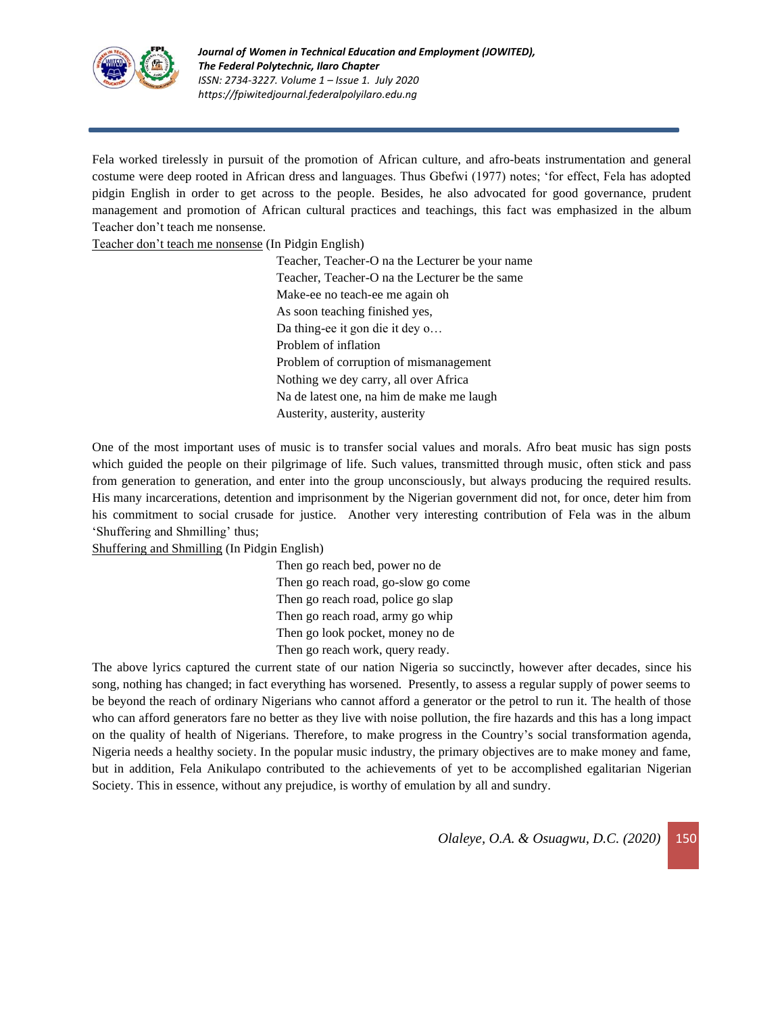

Fela worked tirelessly in pursuit of the promotion of African culture, and afro-beats instrumentation and general costume were deep rooted in African dress and languages. Thus Gbefwi (1977) notes; 'for effect, Fela has adopted pidgin English in order to get across to the people. Besides, he also advocated for good governance, prudent management and promotion of African cultural practices and teachings, this fact was emphasized in the album Teacher don't teach me nonsense.

Teacher don't teach me nonsense (In Pidgin English)

Teacher, Teacher-O na the Lecturer be your name Teacher, Teacher-O na the Lecturer be the same Make-ee no teach-ee me again oh As soon teaching finished yes, Da thing-ee it gon die it dey o… Problem of inflation Problem of corruption of mismanagement Nothing we dey carry, all over Africa Na de latest one, na him de make me laugh Austerity, austerity, austerity

One of the most important uses of music is to transfer social values and morals. Afro beat music has sign posts which guided the people on their pilgrimage of life. Such values, transmitted through music, often stick and pass from generation to generation, and enter into the group unconsciously, but always producing the required results. His many incarcerations, detention and imprisonment by the Nigerian government did not, for once, deter him from his commitment to social crusade for justice. Another very interesting contribution of Fela was in the album 'Shuffering and Shmilling' thus;

Shuffering and Shmilling (In Pidgin English)

Then go reach bed, power no de Then go reach road, go-slow go come Then go reach road, police go slap Then go reach road, army go whip Then go look pocket, money no de Then go reach work, query ready.

The above lyrics captured the current state of our nation Nigeria so succinctly, however after decades, since his song, nothing has changed; in fact everything has worsened. Presently, to assess a regular supply of power seems to be beyond the reach of ordinary Nigerians who cannot afford a generator or the petrol to run it. The health of those who can afford generators fare no better as they live with noise pollution, the fire hazards and this has a long impact on the quality of health of Nigerians. Therefore, to make progress in the Country's social transformation agenda, Nigeria needs a healthy society. In the popular music industry, the primary objectives are to make money and fame, but in addition, Fela Anikulapo contributed to the achievements of yet to be accomplished egalitarian Nigerian Society. This in essence, without any prejudice, is worthy of emulation by all and sundry.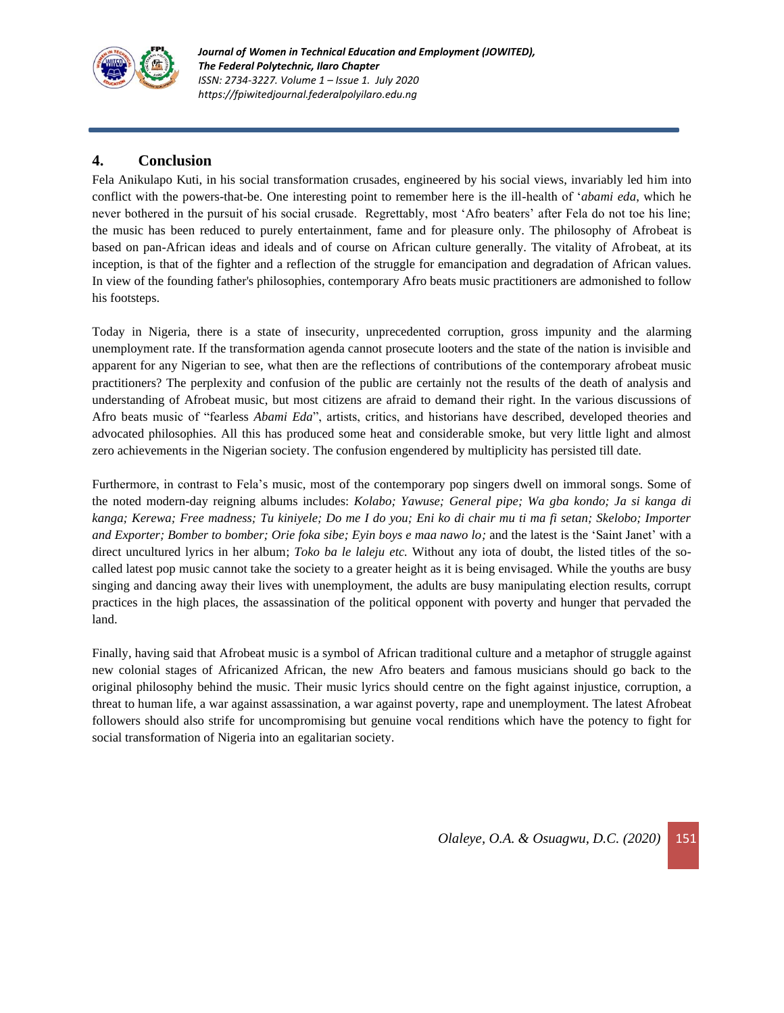

# **4. Conclusion**

Fela Anikulapo Kuti, in his social transformation crusades, engineered by his social views, invariably led him into conflict with the powers-that-be. One interesting point to remember here is the ill-health of '*abami eda*, which he never bothered in the pursuit of his social crusade. Regrettably, most 'Afro beaters' after Fela do not toe his line; the music has been reduced to purely entertainment, fame and for pleasure only. The philosophy of Afrobeat is based on pan-African ideas and ideals and of course on African culture generally. The vitality of Afrobeat, at its inception, is that of the fighter and a reflection of the struggle for emancipation and degradation of African values. In view of the founding father's philosophies, contemporary Afro beats music practitioners are admonished to follow his footsteps.

Today in Nigeria, there is a state of insecurity, unprecedented corruption, gross impunity and the alarming unemployment rate. If the transformation agenda cannot prosecute looters and the state of the nation is invisible and apparent for any Nigerian to see, what then are the reflections of contributions of the contemporary afrobeat music practitioners? The perplexity and confusion of the public are certainly not the results of the death of analysis and understanding of Afrobeat music, but most citizens are afraid to demand their right. In the various discussions of Afro beats music of "fearless *Abami Eda*", artists, critics, and historians have described, developed theories and advocated philosophies. All this has produced some heat and considerable smoke, but very little light and almost zero achievements in the Nigerian society. The confusion engendered by multiplicity has persisted till date.

Furthermore, in contrast to Fela's music, most of the contemporary pop singers dwell on immoral songs. Some of the noted modern-day reigning albums includes: *Kolabo; Yawuse; General pipe; Wa gba kondo; Ja si kanga di kanga; Kerewa; Free madness; Tu kiniyele; Do me I do you; Eni ko di chair mu ti ma fi setan; Skelobo; Importer and Exporter; Bomber to bomber; Orie foka sibe; Eyin boys e maa nawo lo;* and the latest is the 'Saint Janet' with a direct uncultured lyrics in her album; *Toko ba le laleju etc.* Without any iota of doubt, the listed titles of the socalled latest pop music cannot take the society to a greater height as it is being envisaged. While the youths are busy singing and dancing away their lives with unemployment, the adults are busy manipulating election results, corrupt practices in the high places, the assassination of the political opponent with poverty and hunger that pervaded the land.

Finally, having said that Afrobeat music is a symbol of African traditional culture and a metaphor of struggle against new colonial stages of Africanized African, the new Afro beaters and famous musicians should go back to the original philosophy behind the music. Their music lyrics should centre on the fight against injustice, corruption, a threat to human life, a war against assassination, a war against poverty, rape and unemployment. The latest Afrobeat followers should also strife for uncompromising but genuine vocal renditions which have the potency to fight for social transformation of Nigeria into an egalitarian society.